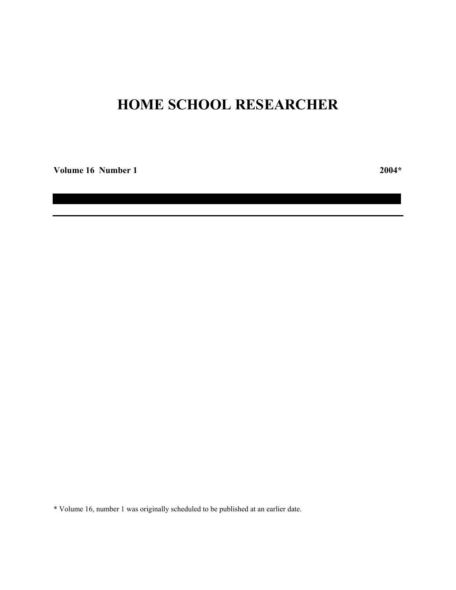# **HOME SCHOOL RESEARCHER**

**Volume 16 Number 1 2004\***

\* Volume 16, number 1 was originally scheduled to be published at an earlier date.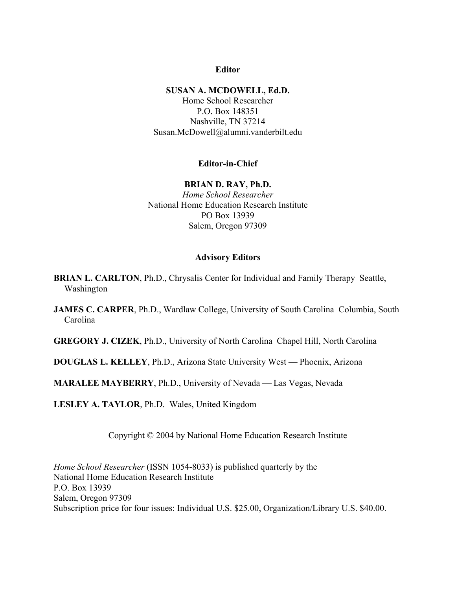## **Editor**

### **SUSAN A. MCDOWELL, Ed.D.**

Home School Researcher P.O. Box 148351 Nashville, TN 37214 Susan.McDowell@alumni.vanderbilt.edu

### **Editor-in-Chief**

### **BRIAN D. RAY, Ph.D.**

*Home School Researcher* National Home Education Research Institute PO Box 13939 Salem, Oregon 97309

### **Advisory Editors**

**BRIAN L. CARLTON, Ph.D., Chrysalis Center for Individual and Family Therapy Seattle,** Washington

**JAMES C. CARPER, Ph.D., Wardlaw College, University of South Carolina Columbia, South** Carolina

**GREGORY J. CIZEK**, Ph.D., University of North Carolina Chapel Hill, North Carolina

**DOUGLAS L. KELLEY**, Ph.D., Arizona State University West –– Phoenix, Arizona

**MARALEE MAYBERRY**, Ph.D., University of Nevada — Las Vegas, Nevada

**LESLEY A. TAYLOR**, Ph.D. Wales, United Kingdom

Copyright © 2004 by National Home Education Research Institute

*Home School Researcher* (ISSN 1054-8033) is published quarterly by the National Home Education Research Institute P.O. Box 13939 Salem, Oregon 97309 Subscription price for four issues: Individual U.S. \$25.00, Organization/Library U.S. \$40.00.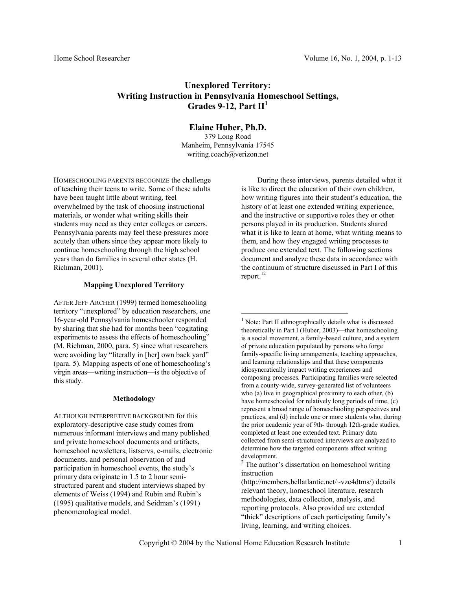# **Unexplored Territory: Writing Instruction in Pennsylvania Homeschool Settings, Grades 9-12, Part II<sup>1</sup>**

**Elaine Huber, Ph.D.**

379 Long Road Manheim, Pennsylvania 17545 writing.coach@verizon.net

HOMESCHOOLING PARENTS RECOGNIZE the challenge of teaching their teens to write. Some of these adults have been taught little about writing, feel overwhelmed by the task of choosing instructional materials, or wonder what writing skills their students may need as they enter colleges or careers. Pennsylvania parents may feel these pressures more acutely than others since they appear more likely to continue homeschooling through the high school years than do families in several other states (H. Richman, 2001).

### **Mapping Unexplored Territory**

AFTER JEFF ARCHER (1999) termed homeschooling territory "unexplored" by education researchers, one 16-year-old Pennsylvania homeschooler responded by sharing that she had for months been "cogitating experiments to assess the effects of homeschooling" (M. Richman, 2000, para. 5) since what researchers were avoiding lay "literally in [her] own back yard" (para. 5). Mapping aspects of one of homeschooling's virgin areas—writing instruction—is the objective of this study.

#### **Methodology**

ALTHOUGH INTERPRETIVE BACKGROUND for this exploratory-descriptive case study comes from numerous informant interviews and many published and private homeschool documents and artifacts, homeschool newsletters, listservs, e-mails, electronic documents, and personal observation of and participation in homeschool events, the study's primary data originate in 1.5 to 2 hour semistructured parent and student interviews shaped by elements of Weiss (1994) and Rubin and Rubin's (1995) qualitative models, and Seidman's (1991) phenomenological model.

During these interviews, parents detailed what it is like to direct the education of their own children, how writing figures into their student's education, the history of at least one extended writing experience, and the instructive or supportive roles they or other persons played in its production. Students shared what it is like to learn at home, what writing means to them, and how they engaged writing processes to produce one extended text. The following sections document and analyze these data in accordance with the continuum of structure discussed in Part I of this report. $^{12}$  $^{12}$  $^{12}$ 

<span id="page-2-0"></span><sup>1</sup> Note: Part II ethnographically details what is discussed theoretically in Part I (Huber, 2003)—that homeschooling is a social movement, a family-based culture, and a system of private education populated by persons who forge family-specific living arrangements, teaching approaches, and learning relationships and that these components idiosyncratically impact writing experiences and composing processes. Participating families were selected from a county-wide, survey-generated list of volunteers who (a) live in geographical proximity to each other, (b) have homeschooled for relatively long periods of time, (c) represent a broad range of homeschooling perspectives and practices, and (d) include one or more students who, during the prior academic year of 9th- through 12th-grade studies, completed at least one extended text. Primary data collected from semi-structured interviews are analyzed to determine how the targeted components affect writing development.

<span id="page-2-1"></span><sup>2</sup> The author's dissertation on homeschool writing instruction

(http://members.bellatlantic.net/~vze4dtms/) details relevant theory, homeschool literature, research methodologies, data collection, analysis, and reporting protocols. Also provided are extended "thick" descriptions of each participating family's living, learning, and writing choices.

 $\overline{a}$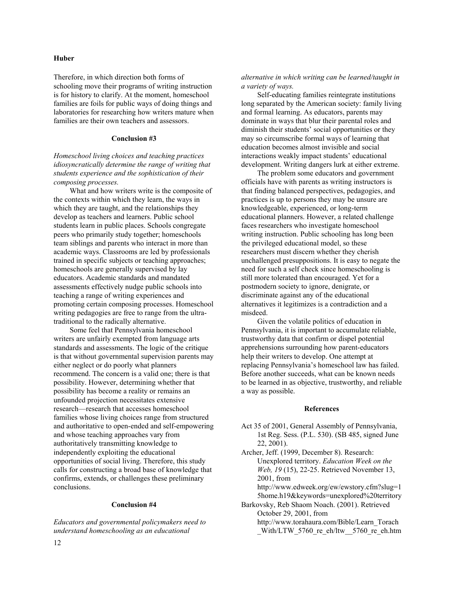### **Huber**

Therefore, in which direction both forms of schooling move their programs of writing instruction is for history to clarify. At the moment, homeschool families are foils for public ways of doing things and laboratories for researching how writers mature when families are their own teachers and assessors.

### **Conclusion #3**

*Homeschool living choices and teaching practices idiosyncratically determine the range of writing that students experience and the sophistication of their composing processes.* 

What and how writers write is the composite of the contexts within which they learn, the ways in which they are taught, and the relationships they develop as teachers and learners. Public school students learn in public places. Schools congregate peers who primarily study together; homeschools team siblings and parents who interact in more than academic ways. Classrooms are led by professionals trained in specific subjects or teaching approaches; homeschools are generally supervised by lay educators. Academic standards and mandated assessments effectively nudge public schools into teaching a range of writing experiences and promoting certain composing processes. Homeschool writing pedagogies are free to range from the ultratraditional to the radically alternative.

Some feel that Pennsylvania homeschool writers are unfairly exempted from language arts standards and assessments. The logic of the critique is that without governmental supervision parents may either neglect or do poorly what planners recommend. The concern is a valid one; there is that possibility. However, determining whether that possibility has become a reality or remains an unfounded projection necessitates extensive research—research that accesses homeschool families whose living choices range from structured and authoritative to open-ended and self-empowering and whose teaching approaches vary from authoritatively transmitting knowledge to independently exploiting the educational opportunities of social living. Therefore, this study calls for constructing a broad base of knowledge that confirms, extends, or challenges these preliminary conclusions.

### **Conclusion #4**

*Educators and governmental policymakers need to understand homeschooling as an educational* 

*alternative in which writing can be learned/taught in a variety of ways.* 

Self-educating families reintegrate institutions long separated by the American society: family living and formal learning. As educators, parents may dominate in ways that blur their parental roles and diminish their students' social opportunities or they may so circumscribe formal ways of learning that education becomes almost invisible and social interactions weakly impact students' educational development. Writing dangers lurk at either extreme.

The problem some educators and government officials have with parents as writing instructors is that finding balanced perspectives, pedagogies, and practices is up to persons they may be unsure are knowledgeable, experienced, or long-term educational planners. However, a related challenge faces researchers who investigate homeschool writing instruction. Public schooling has long been the privileged educational model, so these researchers must discern whether they cherish unchallenged presuppositions. It is easy to negate the need for such a self check since homeschooling is still more tolerated than encouraged. Yet for a postmodern society to ignore, denigrate, or discriminate against any of the educational alternatives it legitimizes is a contradiction and a misdeed.

Given the volatile politics of education in Pennsylvania, it is important to accumulate reliable, trustworthy data that confirm or dispel potential apprehensions surrounding how parent-educators help their writers to develop. One attempt at replacing Pennsylvania's homeschool law has failed. Before another succeeds, what can be known needs to be learned in as objective, trustworthy, and reliable a way as possible.

### **References**

- Act 35 of 2001, General Assembly of Pennsylvania, 1st Reg. Sess. (P.L. 530). (SB 485, signed June 22, 2001).
- Archer, Jeff. (1999, December 8). Research: Unexplored territory. *Education Week on the Web, 19* (15), 22-25. Retrieved November 13, 2001, from http://www.edweek.org/ew/ewstory.cfm?slug=1

5home.h19&keywords=unexplored%20territory Barkovsky, Reb Shaom Noach. (2001). Retrieved

October 29, 2001, from http://www.torahaura.com/Bible/Learn\_Torach With/LTW 5760 re eh/ltw 5760 re eh.htm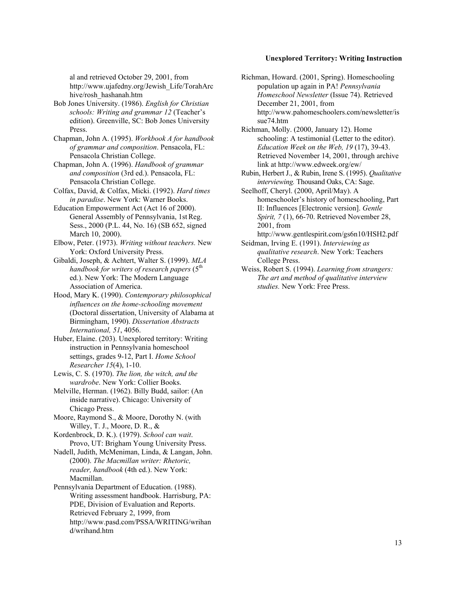### **Unexplored Territory: Writing Instruction**

al and retrieved October 29, 2001, from http://www.ujafedny.org/Jewish\_Life/TorahArc hive/rosh\_hashanah.htm

Bob Jones University. (1986). *English for Christian schools: Writing and grammar 12* (Teacher's edition). Greenville, SC: Bob Jones University Press.

Chapman, John A. (1995). *Workbook A for handbook of grammar and composition*. Pensacola, FL: Pensacola Christian College.

Chapman, John A. (1996). *Handbook of grammar and composition* (3rd ed.). Pensacola, FL: Pensacola Christian College.

Colfax, David, & Colfax, Micki. (1992). *Hard times in paradise*. New York: Warner Books.

Education Empowerment Act (Act 16 of 2000). General Assembly of Pennsylvania, 1st Reg. Sess., 2000 (P.L. 44, No. 16) (SB 652, signed March 10, 2000).

- Elbow, Peter. (1973). *Writing without teachers.* New York: Oxford University Press.
- Gibaldi, Joseph, & Achtert, Walter S. (1999). *MLA handbook for writers of research papers* ( $5<sup>th</sup>$ ed.). New York: The Modern Language Association of America.

Hood, Mary K. (1990). *Contemporary philosophical influences on the home-schooling movement* (Doctoral dissertation, University of Alabama at Birmingham, 1990). *Dissertation Abstracts International, 51*, 4056.

Huber, Elaine. (203). Unexplored territory: Writing instruction in Pennsylvania homeschool settings, grades 9-12, Part I. *Home School Researcher 15*(4), 1-10.

Lewis, C. S. (1970). *The lion, the witch, and the wardrobe*. New York: Collier Books.

Melville, Herman. (1962). Billy Budd, sailor: (An inside narrative). Chicago: University of Chicago Press.

Moore, Raymond S., & Moore, Dorothy N. (with Willey, T. J., Moore, D. R., &

Kordenbrock, D. K.). (1979). *School can wait*. Provo, UT: Brigham Young University Press.

Nadell, Judith, McMeniman, Linda, & Langan, John. (2000). *The Macmillan writer: Rhetoric, reader, handbook* (4th ed.). New York: Macmillan.

Pennsylvania Department of Education. (1988). Writing assessment handbook. Harrisburg, PA: PDE, Division of Evaluation and Reports. Retrieved February 2, 1999, from http://www.pasd.com/PSSA/WRITING/wrihan d/wrihand.htm

Richman, Howard. (2001, Spring). Homeschooling population up again in PA! *Pennsylvania Homeschool Newsletter* (Issue 74). Retrieved December 21, 2001, from http://www.pahomeschoolers.com/newsletter/is sue74.htm

Richman, Molly. (2000, January 12). Home schooling: A testimonial (Letter to the editor). *Education Week on the Web, 19* (17), 39-43. Retrieved November 14, 2001, through archive link at http://www.edweek.org/ew/

Rubin, Herbert J., & Rubin, Irene S. (1995). *Qualitative interviewing.* Thousand Oaks, CA: Sage.

Seelhoff, Cheryl. (2000, April/May). A homeschooler's history of homeschooling, Part II: Influences [Electronic version]. *Gentle Spirit, 7* (1), 66-70. Retrieved November 28, 2001, from

http://www.gentlespirit.com/gs6n10/HSH2.pdf Seidman, Irving E. (1991). *Interviewing as* 

*qualitative research*. New York: Teachers College Press.

Weiss, Robert S. (1994). *Learning from strangers: The art and method of qualitative interview studies.* New York: Free Press.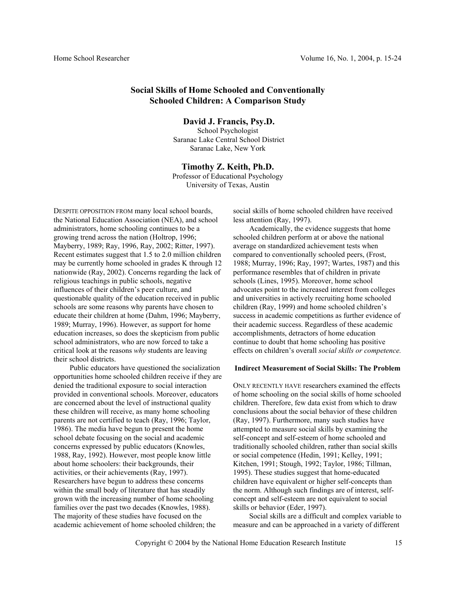# **Social Skills of Home Schooled and Conventionally Schooled Children: A Comparison Study**

 **David J. Francis, Psy.D.** School Psychologist Saranac Lake Central School District Saranac Lake, New York

**Timothy Z. Keith, Ph.D.** Professor of Educational Psychology University of Texas, Austin

DESPITE OPPOSITION FROM many local school boards, the National Education Association (NEA), and school administrators, home schooling continues to be a growing trend across the nation (Holtrop, 1996; Mayberry, 1989; Ray, 1996, Ray, 2002; Ritter, 1997). Recent estimates suggest that 1.5 to 2.0 million children may be currently home schooled in grades K through 12 nationwide (Ray, 2002). Concerns regarding the lack of religious teachings in public schools, negative influences of their children's peer culture, and questionable quality of the education received in public schools are some reasons why parents have chosen to educate their children at home (Dahm, 1996; Mayberry, 1989; Murray, 1996). However, as support for home education increases, so does the skepticism from public school administrators, who are now forced to take a critical look at the reasons *why* students are leaving their school districts.

Public educators have questioned the socialization opportunities home schooled children receive if they are denied the traditional exposure to social interaction provided in conventional schools. Moreover, educators are concerned about the level of instructional quality these children will receive, as many home schooling parents are not certified to teach (Ray, 1996; Taylor, 1986). The media have begun to present the home school debate focusing on the social and academic concerns expressed by public educators (Knowles, 1988, Ray, 1992). However, most people know little about home schoolers: their backgrounds, their activities, or their achievements (Ray, 1997). Researchers have begun to address these concerns within the small body of literature that has steadily grown with the increasing number of home schooling families over the past two decades (Knowles, 1988). The majority of these studies have focused on the academic achievement of home schooled children; the

social skills of home schooled children have received less attention (Ray, 1997).

Academically, the evidence suggests that home schooled children perform at or above the national average on standardized achievement tests when compared to conventionally schooled peers, (Frost, 1988; Murray, 1996; Ray, 1997; Wartes, 1987) and this performance resembles that of children in private schools (Lines, 1995). Moreover, home school advocates point to the increased interest from colleges and universities in actively recruiting home schooled children (Ray, 1999) and home schooled children's success in academic competitions as further evidence of their academic success. Regardless of these academic accomplishments, detractors of home education continue to doubt that home schooling has positive effects on children's overall *social skills or competence.* 

### **Indirect Measurement of Social Skills: The Problem**

ONLY RECENTLY HAVE researchers examined the effects of home schooling on the social skills of home schooled children. Therefore, few data exist from which to draw conclusions about the social behavior of these children (Ray, 1997). Furthermore, many such studies have attempted to measure social skills by examining the self-concept and self-esteem of home schooled and traditionally schooled children, rather than social skills or social competence (Hedin, 1991; Kelley, 1991; Kitchen, 1991; Stough, 1992; Taylor, 1986; Tillman, 1995). These studies suggest that home-educated children have equivalent or higher self-concepts than the norm. Although such findings are of interest, selfconcept and self-esteem are not equivalent to social skills or behavior (Eder, 1997).

Social skills are a difficult and complex variable to measure and can be approached in a variety of different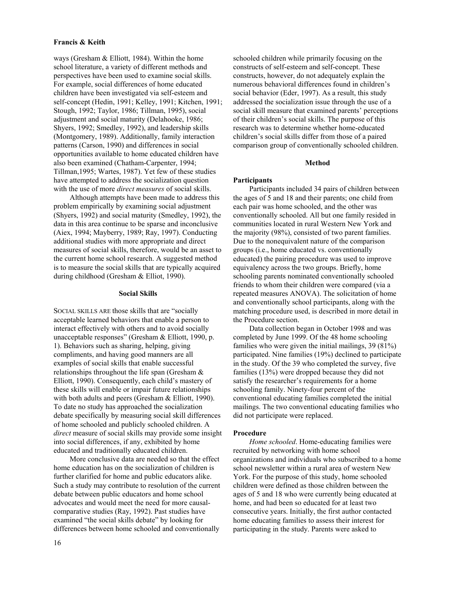### **Francis & Keith**

ways (Gresham & Elliott, 1984). Within the home school literature, a variety of different methods and perspectives have been used to examine social skills. For example, social differences of home educated children have been investigated via self-esteem and self-concept (Hedin, 1991; Kelley, 1991; Kitchen, 1991; Stough, 1992; Taylor, 1986; Tillman, 1995), social adjustment and social maturity (Delahooke, 1986; Shyers, 1992; Smedley, 1992), and leadership skills (Montgomery, 1989). Additionally, family interaction patterns (Carson, 1990) and differences in social opportunities available to home educated children have also been examined (Chatham-Carpenter, 1994; Tillman,1995; Wartes, 1987). Yet few of these studies have attempted to address the socialization question with the use of more *direct measures* of social skills.

Although attempts have been made to address this problem empirically by examining social adjustment (Shyers, 1992) and social maturity (Smedley, 1992), the data in this area continue to be sparse and inconclusive (Aiex, 1994; Mayberry, 1989; Ray, 1997). Conducting additional studies with more appropriate and direct measures of social skills, therefore, would be an asset to the current home school research. A suggested method is to measure the social skills that are typically acquired during childhood (Gresham & Elliot, 1990).

#### **Social Skills**

SOCIAL SKILLS ARE those skills that are "socially acceptable learned behaviors that enable a person to interact effectively with others and to avoid socially unacceptable responses" (Gresham & Elliott, 1990, p. 1). Behaviors such as sharing, helping, giving compliments, and having good manners are all examples of social skills that enable successful relationships throughout the life span (Gresham  $\&$ Elliott, 1990). Consequently, each child's mastery of these skills will enable or impair future relationships with both adults and peers (Gresham & Elliott, 1990). To date no study has approached the socialization debate specifically by measuring social skill differences of home schooled and publicly schooled children. A *direct* measure of social skills may provide some insight into social differences, if any, exhibited by home educated and traditionally educated children.

More conclusive data are needed so that the effect home education has on the socialization of children is further clarified for home and public educators alike. Such a study may contribute to resolution of the current debate between public educators and home school advocates and would meet the need for more causalcomparative studies (Ray, 1992). Past studies have examined "the social skills debate" by looking for differences between home schooled and conventionally

schooled children while primarily focusing on the constructs of self-esteem and self-concept. These constructs, however, do not adequately explain the numerous behavioral differences found in children's social behavior (Eder, 1997). As a result, this study addressed the socialization issue through the use of a social skill measure that examined parents' perceptions of their children's social skills. The purpose of this research was to determine whether home-educated children's social skills differ from those of a paired comparison group of conventionally schooled children.

### **Method**

### **Participants**

Participants included 34 pairs of children between the ages of 5 and 18 and their parents; one child from each pair was home schooled, and the other was conventionally schooled. All but one family resided in communities located in rural Western New York and the majority (98%), consisted of two parent families. Due to the nonequivalent nature of the comparison groups (i.e., home educated vs. conventionally educated) the pairing procedure was used to improve equivalency across the two groups. Briefly, home schooling parents nominated conventionally schooled friends to whom their children were compared (via a repeated measures ANOVA). The solicitation of home and conventionally school participants, along with the matching procedure used, is described in more detail in the Procedure section.

Data collection began in October 1998 and was completed by June 1999. Of the 48 home schooling families who were given the initial mailings, 39 (81%) participated. Nine families (19%) declined to participate in the study. Of the 39 who completed the survey, five families (13%) were dropped because they did not satisfy the researcher's requirements for a home schooling family. Ninety-four percent of the conventional educating families completed the initial mailings. The two conventional educating families who did not participate were replaced.

#### **Procedure**

*Home schooled*. Home-educating families were recruited by networking with home school organizations and individuals who subscribed to a home school newsletter within a rural area of western New York. For the purpose of this study, home schooled children were defined as those children between the ages of 5 and 18 who were currently being educated at home, and had been so educated for at least two consecutive years. Initially, the first author contacted home educating families to assess their interest for participating in the study. Parents were asked to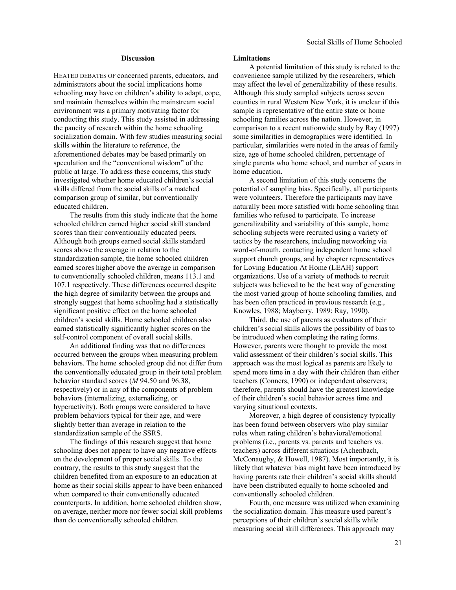### **Discussion**

HEATED DEBATES OF concerned parents, educators, and administrators about the social implications home schooling may have on children's ability to adapt, cope, and maintain themselves within the mainstream social environment was a primary motivating factor for conducting this study. This study assisted in addressing the paucity of research within the home schooling socialization domain. With few studies measuring social skills within the literature to reference, the aforementioned debates may be based primarily on speculation and the "conventional wisdom" of the public at large. To address these concerns, this study investigated whether home educated children's social skills differed from the social skills of a matched comparison group of similar, but conventionally educated children.

The results from this study indicate that the home schooled children earned higher social skill standard scores than their conventionally educated peers. Although both groups earned social skills standard scores above the average in relation to the standardization sample, the home schooled children earned scores higher above the average in comparison to conventionally schooled children, means 113.1 and 107.1 respectively. These differences occurred despite the high degree of similarity between the groups and strongly suggest that home schooling had a statistically significant positive effect on the home schooled children's social skills. Home schooled children also earned statistically significantly higher scores on the self-control component of overall social skills.

An additional finding was that no differences occurred between the groups when measuring problem behaviors. The home schooled group did not differ from the conventionally educated group in their total problem behavior standard scores (*M* 94.50 and 96.38, respectively) or in any of the components of problem behaviors (internalizing, externalizing, or hyperactivity). Both groups were considered to have problem behaviors typical for their age, and were slightly better than average in relation to the standardization sample of the SSRS.

The findings of this research suggest that home schooling does not appear to have any negative effects on the development of proper social skills. To the contrary, the results to this study suggest that the children benefited from an exposure to an education at home as their social skills appear to have been enhanced when compared to their conventionally educated counterparts. In addition, home schooled children show, on average, neither more nor fewer social skill problems than do conventionally schooled children.

### **Limitations**

A potential limitation of this study is related to the convenience sample utilized by the researchers, which may affect the level of generalizability of these results. Although this study sampled subjects across seven counties in rural Western New York, it is unclear if this sample is representative of the entire state or home schooling families across the nation. However, in comparison to a recent nationwide study by Ray (1997) some similarities in demographics were identified. In particular, similarities were noted in the areas of family size, age of home schooled children, percentage of single parents who home school, and number of years in home education.

A second limitation of this study concerns the potential of sampling bias. Specifically, all participants were volunteers. Therefore the participants may have naturally been more satisfied with home schooling than families who refused to participate. To increase generalizability and variability of this sample, home schooling subjects were recruited using a variety of tactics by the researchers, including networking via word-of-mouth, contacting independent home school support church groups, and by chapter representatives for Loving Education At Home (LEAH) support organizations. Use of a variety of methods to recruit subjects was believed to be the best way of generating the most varied group of home schooling families, and has been often practiced in previous research (e.g., Knowles, 1988; Mayberry, 1989; Ray, 1990).

Third, the use of parents as evaluators of their children's social skills allows the possibility of bias to be introduced when completing the rating forms. However, parents were thought to provide the most valid assessment of their children's social skills. This approach was the most logical as parents are likely to spend more time in a day with their children than either teachers (Conners, 1990) or independent observers; therefore, parents should have the greatest knowledge of their children's social behavior across time and varying situational contexts.

Moreover, a high degree of consistency typically has been found between observers who play similar roles when rating children's behavioral/emotional problems (i.e., parents vs. parents and teachers vs. teachers) across different situations (Achenbach, McConaughy, & Howell, 1987). Most importantly, it is likely that whatever bias might have been introduced by having parents rate their children's social skills should have been distributed equally to home schooled and conventionally schooled children.

Fourth, one measure was utilized when examining the socialization domain. This measure used parent's perceptions of their children's social skills while measuring social skill differences. This approach may